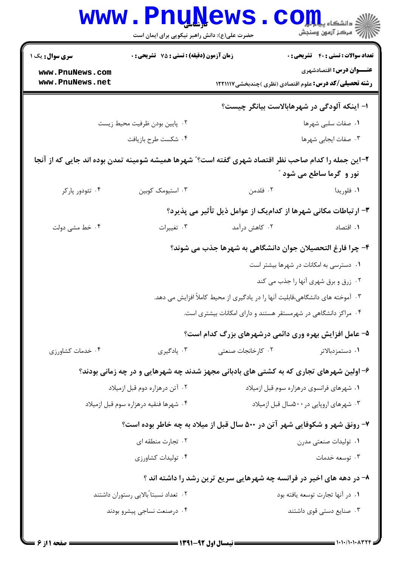|                                                                                                     | <b>www.PnuNews</b><br>حضرت علی(ع): دانش راهبر نیکویی برای ایمان است |                                                                                | ران دانشڪاه پي <mark>ا ۾ آج</mark> و<br>اڳ مرڪز آزمون وسنڊش                                      |
|-----------------------------------------------------------------------------------------------------|---------------------------------------------------------------------|--------------------------------------------------------------------------------|--------------------------------------------------------------------------------------------------|
| سری سوال: یک ۱                                                                                      | زمان آزمون (دقیقه) : تستی : 75 تشریحی : 0                           |                                                                                | <b>تعداد سوالات : تستی : 40 - تشریحی : 0</b>                                                     |
| www.PnuNews.com<br>www.PnuNews.net                                                                  |                                                                     |                                                                                | <b>عنـــوان درس:</b> اقتصادشهری<br><b>رشته تحصیلی/کد درس:</b> علوم اقتصادی (نظری )چندبخشی۱۲۲۱۱۱۷ |
|                                                                                                     |                                                                     |                                                                                | ا- اینکه آلودگی در شهرهابالاست بیانگر چیست؟                                                      |
|                                                                                                     | ۰۲ پایین بودن ظرفیت محیط زیست                                       |                                                                                | ۰۱ صفات سلبی شهرها                                                                               |
|                                                                                                     | ۰۴ شكست طرح بازيافت                                                 |                                                                                | ۰۳ صفات ایجابی شهرها                                                                             |
| ۲–این جمله را کدام صاحب نظر اقتصاد شهری گفته است؟" شهرها همیشه شومینه تمدن بوده اند جایی که از آنجا |                                                                     |                                                                                |                                                                                                  |
|                                                                                                     |                                                                     |                                                                                | نور و گرما ساطع می شود "                                                                         |
| ۰۴ تئودور پارکر                                                                                     | ۰۳ استیومک کوبین                                                    | ۰۲ فلدمن                                                                       | ۰۱ فلوريدا                                                                                       |
|                                                                                                     |                                                                     |                                                                                | ۳- ارتباطات مکانی شهرها از کدامیک از عوامل ذیل تأثیر می پذیرد؟                                   |
| ۰۴ خط مشی دولت                                                                                      | ۰۳ تغییرات                                                          | ۰۲ کاهش درآمد                                                                  | ٠١. اقتصاد                                                                                       |
|                                                                                                     |                                                                     |                                                                                | ۴- چرا فارغ التحصیلان جوان دانشگاهی به شهرها جذب می شوند؟                                        |
|                                                                                                     |                                                                     |                                                                                | ۰۱ دسترسی به امکانات در شهرها بیشتر است                                                          |
|                                                                                                     |                                                                     |                                                                                | ۰۲ زرق و برق شهری آنها را جذب می کند                                                             |
|                                                                                                     |                                                                     | ۰۳ آموخته های دانشگاهی،قابلیت آنها را در یادگیری از محیط کاملاً افزایش می دهد. |                                                                                                  |
|                                                                                                     |                                                                     | ۰۴ مراکز دانشگاهی در شهرمستقر هستند و دارای امکانات بیشتری است.                |                                                                                                  |
|                                                                                                     |                                                                     |                                                                                | ۵- عامل افزایش بهره وری دائمی درشهرهای بزرگ کدام است؟                                            |
| ۰۴ خدمات کشاورزی                                                                                    | ۰۳ يادگيري                                                          | ۰۲ کارخانجات صنعتی                                                             | ۰۱ دستمزدبالاتر                                                                                  |
|                                                                                                     |                                                                     |                                                                                | ۶- اولین شهرهای تجاری که به کشتی های بادبانی مجهز شدند چه شهرهایی و در چه زمانی بودند؟           |
|                                                                                                     | ۰۲ آتن درهزاره دوم قبل ازميلاد                                      |                                                                                | ۰۱ شهرهای فرانسوی درهزاره سوم قبل ازمیلاد                                                        |
|                                                                                                     | ۰۴ شهرها فنقيه درهزاره سوم قبل ازميلاد                              |                                                                                | ۰۳ شهرهای اروپایی در ۵۰۰سال قبل ازمیلاد                                                          |
|                                                                                                     |                                                                     |                                                                                | ۷- رونق شهر و شکوفایی شهر آتن در ۵۰۰ سال قبل از میلاد به چه خاطر بوده است؟                       |
|                                                                                                     | ۰۲ تجارت منطقه ای                                                   |                                                                                | ۰۱ تولیدات صنعتی مدرن                                                                            |
|                                                                                                     | ۰۴ تولیدات کشاورزی                                                  |                                                                                | ۰۳ توسعه خدمات                                                                                   |
|                                                                                                     |                                                                     |                                                                                | ۸- در دهه های اخیر در فرانسه چه شهرهایی سریع ترین رشد را داشته اند ؟                             |
|                                                                                                     | ۰۲ تعداد نسبتا ًبالايي رستوران داشتند                               |                                                                                | ٠١ در آنها تجارت توسعه يافته بود                                                                 |
|                                                                                                     | ۰۴ درصنعت نساجي پيشرو بودند                                         |                                                                                | ۰۳ صنایع دستی قوی داشتند                                                                         |
|                                                                                                     |                                                                     |                                                                                |                                                                                                  |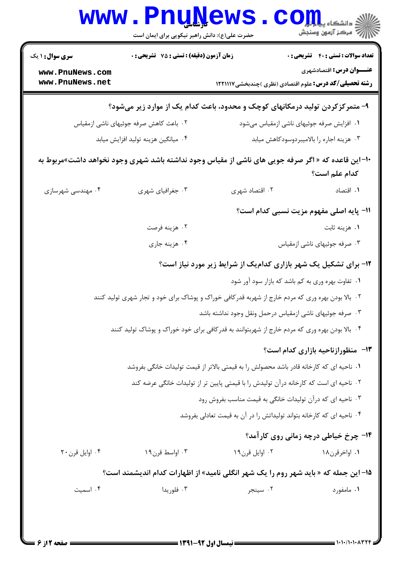| زمان آزمون (دقیقه) : تستی : 75 ٪ تشریحی : 0<br><b>سری سوال :</b> ۱ یک |                                        |                                                                                                    | <b>تعداد سوالات : تستی : 40 - تشریحی : 0</b> |
|-----------------------------------------------------------------------|----------------------------------------|----------------------------------------------------------------------------------------------------|----------------------------------------------|
| www.PnuNews.com                                                       |                                        |                                                                                                    | <b>عنـــوان درس:</b> اقتصادشهری              |
| www.PnuNews.net                                                       |                                        | <b>رشته تحصیلی/کد درس:</b> علوم اقتصادی (نظری )چندبخشی۱۲۲۱۱۱۷                                      |                                              |
|                                                                       |                                        | ۹- متمرکزکردن تولید درمکانهای کوچک و محدود، باعث کدام یک از موارد زیر میشود؟                       |                                              |
|                                                                       | ۰۲ باعث کاهش صرفه جوئیهای ناشی ازمقیاس |                                                                                                    | ۰۱ افزایش صرفه جوئیهای ناشی ازمقیاس میشود    |
|                                                                       | ۰۴ میانگین هزینه تولید افزایش میابد    |                                                                                                    | ۰۳ هزینه اجاره را بالامیبردوسودکاهش میابد    |
|                                                                       |                                        | +۱- این قاعده که « اگر صرفه جویی های ناشی از مقیاس وجود نداشته باشد شهری وجود نخواهد داشت»مربوط به |                                              |
|                                                                       |                                        |                                                                                                    | كدام علم است؟                                |
| ۰۴ مهندسی شهرسازی                                                     | ۰۳ جغرافیای شهری                       | ۰۲ اقتصاد شهری                                                                                     | ۰۱ اقتصاد                                    |
|                                                                       |                                        |                                                                                                    | 11- پایه اصلی مفهوم مزیت نسبی کدام است؟      |
|                                                                       | ۰۲ هزينه فرصت                          |                                                                                                    | ۰۱ هزينه ثابت                                |
|                                                                       | ۰۴ هزينه جاري                          |                                                                                                    | ۰۳ صرفه جوئیهای ناشی ازمقیاس                 |
|                                                                       |                                        | ۱۲- برای تشکیل یک شهر بازاری کدامیک از شرایط زیر مورد نیاز است؟                                    |                                              |
|                                                                       |                                        | ۰۱ تفاوت بهره وری به کم باشد که بازار سود آور شود                                                  |                                              |
|                                                                       |                                        | ۰۲ بالا بودن بهره وری که مردم خارج از شهربه قدرکافی خوراک و پوشاک برای خود و تجار شهری تولید کنند  |                                              |
|                                                                       |                                        | ۰۳ صرفه جوئيهاي ناشي ازمقياس درحمل ونقل وجود نداشته باشد                                           |                                              |
|                                                                       |                                        | ۰۴ بالا بودن بهره وری که مردم خارج از شهربتوانند به قدرکافی برای خود خوراک و پوشاک تولید کنند      |                                              |
|                                                                       |                                        |                                                                                                    | 13- منظورازناحیه بازاری کدام است؟            |
|                                                                       |                                        | ۰۱ ناحیه ای که کارخانه قادر باشد محصولش را به قیمتی بالاتر از قیمت تولیدات خانگی بفروشد            |                                              |
|                                                                       |                                        | ۰۲ ناحیه ای است که کارخانه درآن تولیدش را با قیمتی پایین تر از تولیدات خانگی عرضه کند              |                                              |
|                                                                       |                                        | ۰۳ ناحیه ای که درآن تولیدات خانگی به قیمت مناسب بفروش رود                                          |                                              |
|                                                                       |                                        | ۰۴ ناحیه ای که کارخانه بتواند تولیداتش را در آن به قیمت تعادلی بفروشد                              |                                              |
|                                                                       |                                        |                                                                                                    | ۱۴- چرخ خیاطی درچه زمانی روی کارآمد؟         |
| ۰۴ اوایل قرن ۲۰                                                       | ۰۳ اواسط قرن۱۹                         | ۰۲ اوایل قرن۱۹                                                                                     | ۰۱ اواخرقرن۱۸                                |
|                                                                       |                                        | ۱۵– این جمله که « باید شهر روم را یک شهر انگلی نامید» از اظهارات کدام اندیشمند است؟                |                                              |
| ۰۴ اسمیت                                                              | ۰۳ فلوريدا                             | ۰۲ سینجر                                                                                           | ۰۱ مامفورد                                   |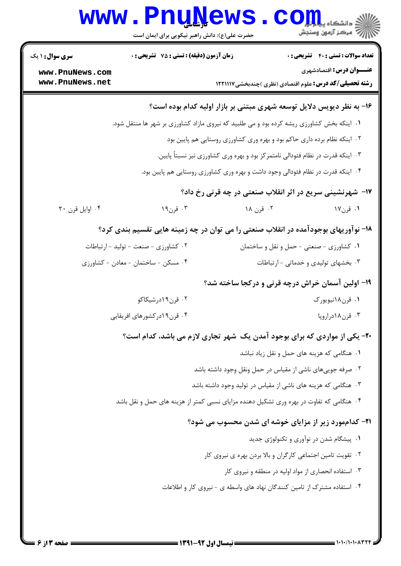|                                    | <b>www.PnuNews</b><br>حضرت علی(ع): دانش راهبر نیکویی برای ایمان است                       |           | اللاء دانشڪاه پيد <mark>ي جو</mark> رها<br>الل <sup>اء</sup> َ مرڪز آزمون وسنڊش                  |
|------------------------------------|-------------------------------------------------------------------------------------------|-----------|--------------------------------------------------------------------------------------------------|
| <b>سری سوال : ۱ یک</b>             | زمان آزمون (دقیقه) : تستی : 75 آتشریحی : 0                                                |           | <b>تعداد سوالات : تستی : 40 - تشریحی : .</b>                                                     |
| www.PnuNews.com<br>www.PnuNews.net |                                                                                           |           | <b>عنـــوان درس:</b> اقتصادشهری<br><b>رشته تحصیلی/کد درس:</b> علوم اقتصادی (نظری )چندبخشی1۲۲۱۱۱۷ |
|                                    |                                                                                           |           | ۱۶- به نظر دیویس دلایل توسعه شهری مبتنی بر بازار اولیه کدام بوده است؟                            |
|                                    | ۰۱ اینکه بخش کشاورزی ریشه کرده بود و می طلبید که نیروی مازاد کشاورزی بر شهر ها منتقل شود. |           |                                                                                                  |
|                                    |                                                                                           |           | ۲. اینکه نظام برده داری حاکم بود و بهره وری کشاورزی روستایی هم پایین بود                         |
|                                    |                                                                                           |           | ۰۳ اینکه قدرت در نظام فئودالی نامتمرکز بود و بهره وری کشاورزی نیز نسبتاً پایین.                  |
|                                    |                                                                                           |           | ۰۴ اینکه قدرت در نظام فئودالی وجود داشت و بهره وری کشاورزی روستایی هم پایین بود.                 |
|                                    |                                                                                           |           | ۱۷- شهرنشینی سریع در اثر انقلاب صنعتی در چه قرنی رخ داد؟                                         |
| ۰۴ اوايل قرن ۲۰                    | ۰۳ قرن۱۹                                                                                  | ۰۲ قرن ۱۸ | ۰۱ قرن۱۷                                                                                         |
|                                    | ۱۸- نوآوریهای بوجودآمده در انقلاب صنعتی را می توان در چه زمینه هایی تقسیم بندی کرد؟       |           |                                                                                                  |
|                                    | ۰۲ کشاورزی - صنعت - تولید - ارتباطات                                                      |           | ۰۱ کشاورزی - صنعتی - حمل و نقل و ساختمان                                                         |
|                                    | ۰۴ مسکن - ساختمان - معادن - کشاورزی                                                       |           | ۰۳ بخشهای تولیدی و خدماتی - ارتباطات                                                             |
|                                    |                                                                                           |           | ۱۹- اولین آسمان خراش درچه قرنی و درکجا ساخته شد؟                                                 |
|                                    | ۰۲ قرن۱۹درشیکاکو                                                                          |           | ۰۱ قرن۱۸نیویورک                                                                                  |
|                                    | ۰۴ قرن ۱۹در کشورهای افریقایی                                                              |           | ۰۳ قرن۱۸دراروپا                                                                                  |
|                                    | ۲۰- یکی از مواردی که برای بوجود آمدن یک شهر تجاری لازم می باشد، کدام است؟                 |           |                                                                                                  |
|                                    |                                                                                           |           | ۰۱ هنگامی که هزینه های حمل و نقل زیاد نباشد                                                      |
|                                    |                                                                                           |           | ۰۲ صرفه جوییهای ناشی از مقیاس در حمل ونقل وجود داشته باشد                                        |
|                                    |                                                                                           |           | ۰۳ هنگامی که هزینه های ناشی از مقیاس در تولید وجود داشته باشد                                    |
|                                    | ۰۴ هنگامی که تفاوت در بهره وری تشکیل دهنده مزایای نسبی کمتر از هزینه های حمل و نقل باشد   |           |                                                                                                  |
|                                    |                                                                                           |           | <b>۲۱- کداممورد زیر از مزایای خوشه ای شدن محسوب می شود؟</b>                                      |
|                                    |                                                                                           |           | ۰۱ پیشگام شدن در نوآوری و تکنولوژی جدید                                                          |
|                                    |                                                                                           |           | ۰۲ تقویت تامین اجتماعی کارگران و بالا بردن بهره ی نیروی کار                                      |
|                                    |                                                                                           |           | ۰۳ استفاده انحصاری از مواد اولیه در منطقه و نیروی کار                                            |
|                                    |                                                                                           |           | ۰۴ استفاده مشترک از تامین کنندگان نهاد های واسطه ی - نیروی کار و اطلاعات                         |
|                                    |                                                                                           |           |                                                                                                  |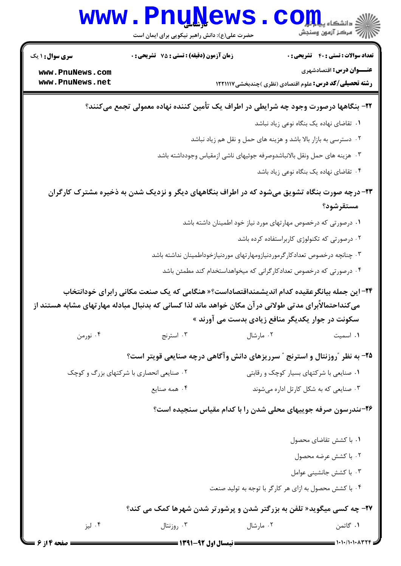

صفحه ۱۴ز ۶ ا

 $= 1.1.71.1.7444$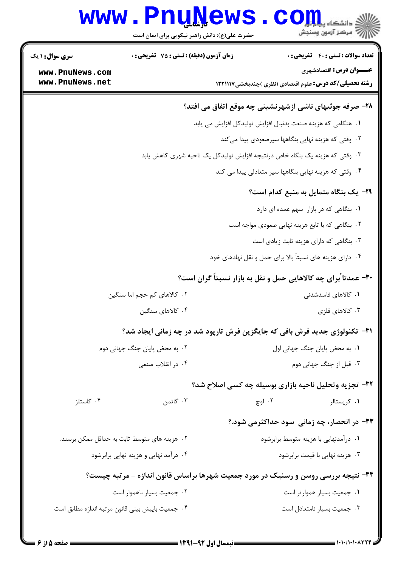|                                    | <b>www.PnuNews</b><br>حضرت علی(ع): دانش راهبر نیکویی برای ایمان است                |        | ان دانشگاه پیام اوران<br>انتخاب است است به استفاقات به استفاقات به استفاقات به استفاقات به استفاقات به استفاقات به استفاقات به استفاقات<br>انتخاب استفاقات به استفاقات به استفاقات به استفاقات به استفاقات به استفاقات به استفاقات |
|------------------------------------|------------------------------------------------------------------------------------|--------|------------------------------------------------------------------------------------------------------------------------------------------------------------------------------------------------------------------------------------|
| <b>سری سوال :</b> ۱ یک             | زمان آزمون (دقیقه) : تستی : 75 تشریحی : 0                                          |        | <b>تعداد سوالات : تستی : 40 ٪ تشریحی : 0</b>                                                                                                                                                                                       |
| www.PnuNews.com<br>www.PnuNews.net |                                                                                    |        | عنـــوان درس: اقتصادشهری<br><b>رشته تحصیلی/کد درس:</b> علوم اقتصادی (نظری )چندبخشی ۱۲۲۱۱۱۷                                                                                                                                         |
|                                    |                                                                                    |        | ۲۸- صرفه جوئیهای ناشی ازشهرنشینی چه موقع اتفاق می افتد؟                                                                                                                                                                            |
|                                    |                                                                                    |        | ٠١ هنگامي كه هزينه صنعت بدنبال افزايش توليدكل افزايش مي يابد                                                                                                                                                                       |
|                                    |                                                                                    |        | ۰۲ وقتی که هزینه نهایی بنگاهها سیرصعودی پیدا میکند                                                                                                                                                                                 |
|                                    |                                                                                    |        | ۰۳ وقتی که هزینه یک بنگاه خاص درنتیجه افزایش تولیدکل یک ناحیه شهری کاهش یابد                                                                                                                                                       |
|                                    |                                                                                    |        | ۰۴ وقتی که هزینه نهایی بنگاهها سیر متعادلی پیدا می کند                                                                                                                                                                             |
|                                    |                                                                                    |        | <b>۲۹</b> - یک بنگاه متمایل به منبع کدام است؟                                                                                                                                                                                      |
|                                    |                                                                                    |        | ٠١ بنگاهی که در بازار سهم عمده ای دارد                                                                                                                                                                                             |
|                                    |                                                                                    |        | ۰۲ بنگاهی که با تابع هزینه نهایی صعودی مواجه است                                                                                                                                                                                   |
|                                    |                                                                                    |        | ۰۳ بنگاهی که دارای هزینه ثابت زیادی است                                                                                                                                                                                            |
|                                    |                                                                                    |        | ۰۴ دارای هزینه های نسبتاً بالا برای حمل و نقل نهادهای خود                                                                                                                                                                          |
|                                    |                                                                                    |        | ۳۰- عمدتاً برای چه کالاهایی حمل و نقل به بازار نسبتاً گران است؟                                                                                                                                                                    |
|                                    | ۰۲ کالاهای کم حجم اما سنگین                                                        |        | ۰۱ کالاهای فاسدشدنی                                                                                                                                                                                                                |
|                                    | ۰۴ کالاهای سنگین                                                                   |        | ۰۳ کالاهای فلزی                                                                                                                                                                                                                    |
|                                    | <b>۳۱</b> - تکنولوژی جدید فرش بافی که جایگزین فرش تارپود شد در چه زمانی ایجاد شد؟  |        |                                                                                                                                                                                                                                    |
|                                    | ۰۲ به محض پایان جنگ جهانی دوم                                                      |        | ٠١. به محض پایان جنگ جهانی اول                                                                                                                                                                                                     |
|                                    | ۰۴ در انقلاب صنعی                                                                  |        | ۰۳ قبل از جنگ جهانی دوم                                                                                                                                                                                                            |
|                                    |                                                                                    |        | ۳۲- تجزیه وتحلیل ناحیه بازاری بوسیله چه کسی اصلاح شد؟                                                                                                                                                                              |
| ۰۴ کاستلز                          | ۰۳ گاتمن                                                                           | ۰۲ لوچ | ۰۱ کریستالر                                                                                                                                                                                                                        |
|                                    |                                                                                    |        | ۳۳- در انحصار، چه زمانی ًسود حداکثرمی شود.؟                                                                                                                                                                                        |
|                                    | ۰۲ هزینه های متوسط ثابت به حداقل ممکن برسند.                                       |        | ۰۱ درآمدنهایی با هزینه متوسط برابرشود                                                                                                                                                                                              |
|                                    | ۰۴ درآمد نهایی و هزینه نهایی برابرشود                                              |        | ۰۳ هزینه نهایی با قیمت برابرشود                                                                                                                                                                                                    |
|                                    | ۳۴- نتیجه بررسی روسن و رسنیک در مورد جمعیت شهرها براساس قانون اندازه - مرتبه چیست؟ |        |                                                                                                                                                                                                                                    |
|                                    | ۰۲ جمعیت بسیار ناهموار است                                                         |        | ٠١. جمعيت بسيار هموارتر است                                                                                                                                                                                                        |
|                                    | ۰۴ جمعیت باپیش بینی قانون مرتبه اندازه مطابق است                                   |        | ۰۳ جمعیت بسیار نامتعادل است                                                                                                                                                                                                        |
|                                    |                                                                                    |        |                                                                                                                                                                                                                                    |